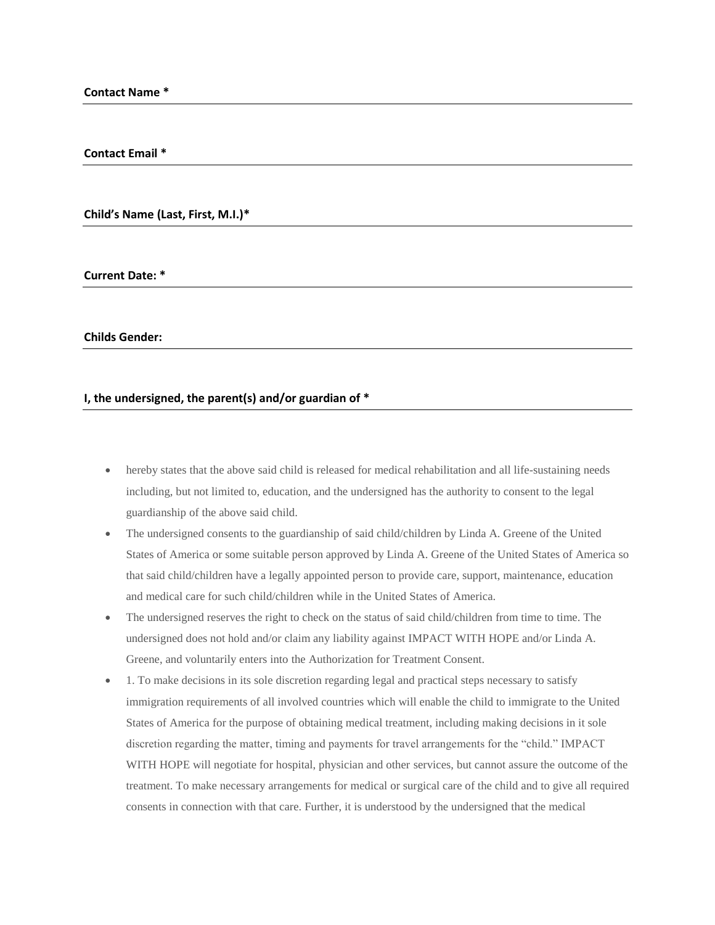## **Contact Email \***

**Child's Name (Last, First, M.I.)\***

**Current Date: \***

**Childs Gender:**

## **I, the undersigned, the parent(s) and/or guardian of \***

- hereby states that the above said child is released for medical rehabilitation and all life-sustaining needs including, but not limited to, education, and the undersigned has the authority to consent to the legal guardianship of the above said child.
- The undersigned consents to the guardianship of said child/children by Linda A. Greene of the United States of America or some suitable person approved by Linda A. Greene of the United States of America so that said child/children have a legally appointed person to provide care, support, maintenance, education and medical care for such child/children while in the United States of America.
- The undersigned reserves the right to check on the status of said child/children from time to time. The undersigned does not hold and/or claim any liability against IMPACT WITH HOPE and/or Linda A. Greene, and voluntarily enters into the Authorization for Treatment Consent.
- 1. To make decisions in its sole discretion regarding legal and practical steps necessary to satisfy immigration requirements of all involved countries which will enable the child to immigrate to the United States of America for the purpose of obtaining medical treatment, including making decisions in it sole discretion regarding the matter, timing and payments for travel arrangements for the "child." IMPACT WITH HOPE will negotiate for hospital, physician and other services, but cannot assure the outcome of the treatment. To make necessary arrangements for medical or surgical care of the child and to give all required consents in connection with that care. Further, it is understood by the undersigned that the medical